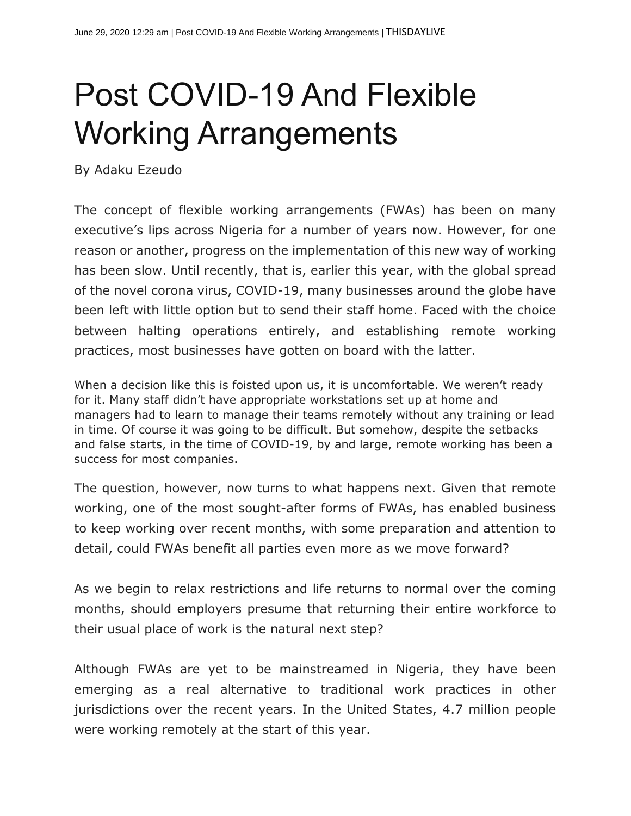## Post COVID-19 And Flexible Working Arrangements

By Adaku Ezeudo

The concept of flexible working arrangements (FWAs) has been on many executive's lips across Nigeria for a number of years now. However, for one reason or another, progress on the implementation of this new way of working has been slow. Until recently, that is, earlier this year, with the global spread of the novel corona virus, COVID-19, many businesses around the globe have been left with little option but to send their staff home. Faced with the choice between halting operations entirely, and establishing remote working practices, most businesses have gotten on board with the latter.

When a decision like this is foisted upon us, it is uncomfortable. We weren't ready for it. Many staff didn't have appropriate workstations set up at home and managers had to learn to manage their teams remotely without any training or lead in time. Of course it was going to be difficult. But somehow, despite the setbacks and false starts, in the time of COVID-19, by and large, remote working has been a success for most companies.

The question, however, now turns to what happens next. Given that remote working, one of the most sought-after forms of FWAs, has enabled business to keep working over recent months, with some preparation and attention to detail, could FWAs benefit all parties even more as we move forward?

As we begin to relax restrictions and life returns to normal over the coming months, should employers presume that returning their entire workforce to their usual place of work is the natural next step?

Although FWAs are yet to be mainstreamed in Nigeria, they have been emerging as a real alternative to traditional work practices in other jurisdictions over the recent years. In the United States, 4.7 million people were working remotely at the start of this year.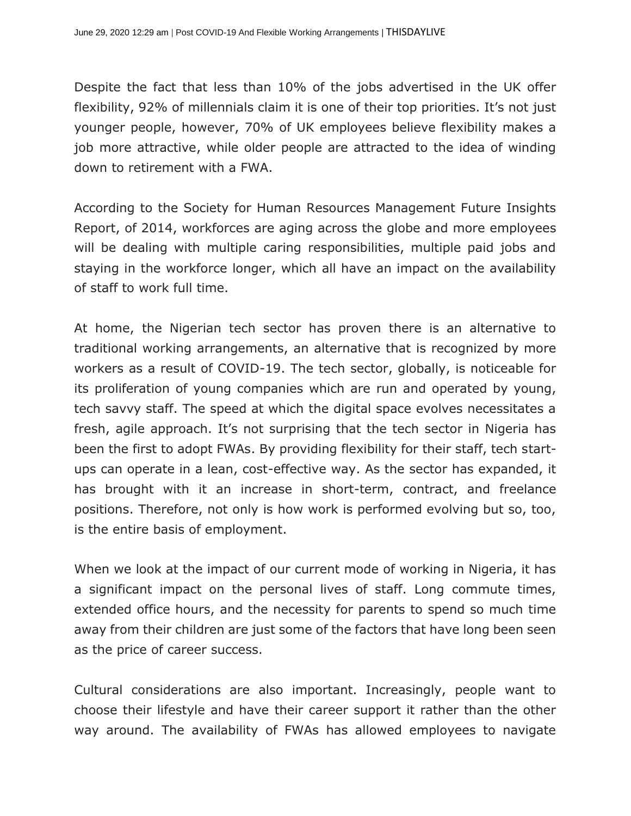Despite the fact that less than 10% of the jobs advertised in the UK offer flexibility, 92% of millennials claim it is one of their top priorities. It's not just younger people, however, 70% of UK employees believe flexibility makes a job more attractive, while older people are attracted to the idea of winding down to retirement with a FWA.

According to the Society for Human Resources Management Future Insights Report, of 2014, workforces are aging across the globe and more employees will be dealing with multiple caring responsibilities, multiple paid jobs and staying in the workforce longer, which all have an impact on the availability of staff to work full time.

At home, the Nigerian tech sector has proven there is an alternative to traditional working arrangements, an alternative that is recognized by more workers as a result of COVID-19. The tech sector, globally, is noticeable for its proliferation of young companies which are run and operated by young, tech savvy staff. The speed at which the digital space evolves necessitates a fresh, agile approach. It's not surprising that the tech sector in Nigeria has been the first to adopt FWAs. By providing flexibility for their staff, tech startups can operate in a lean, cost-effective way. As the sector has expanded, it has brought with it an increase in short-term, contract, and freelance positions. Therefore, not only is how work is performed evolving but so, too, is the entire basis of employment.

When we look at the impact of our current mode of working in Nigeria, it has a significant impact on the personal lives of staff. Long commute times, extended office hours, and the necessity for parents to spend so much time away from their children are just some of the factors that have long been seen as the price of career success.

Cultural considerations are also important. Increasingly, people want to choose their lifestyle and have their career support it rather than the other way around. The availability of FWAs has allowed employees to navigate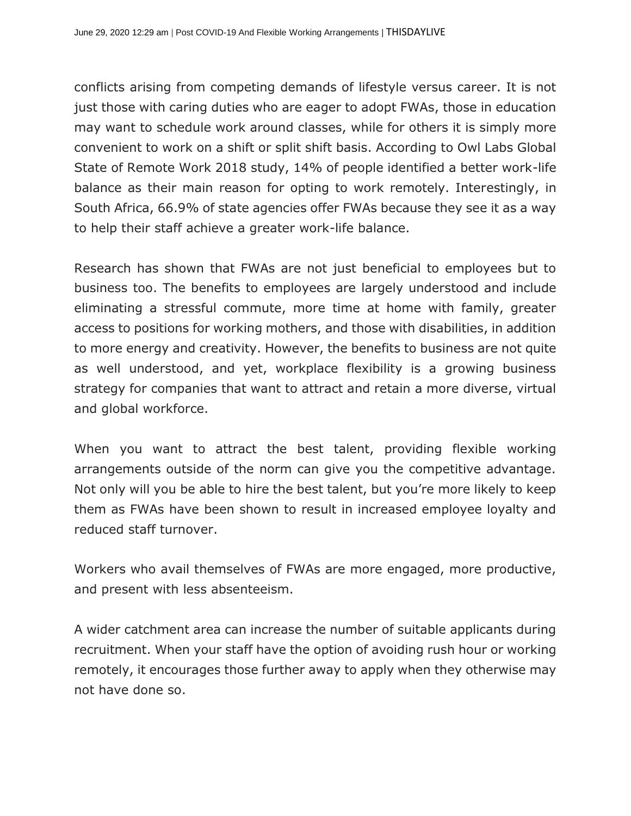conflicts arising from competing demands of lifestyle versus career. It is not just those with caring duties who are eager to adopt FWAs, those in education may want to schedule work around classes, while for others it is simply more convenient to work on a shift or split shift basis. According to Owl Labs Global State of Remote Work 2018 study, 14% of people identified a better work-life balance as their main reason for opting to work remotely. Interestingly, in South Africa, 66.9% of state agencies offer FWAs because they see it as a way to help their staff achieve a greater work-life balance.

Research has shown that FWAs are not just beneficial to employees but to business too. The benefits to employees are largely understood and include eliminating a stressful commute, more time at home with family, greater access to positions for working mothers, and those with disabilities, in addition to more energy and creativity. However, the benefits to business are not quite as well understood, and yet, workplace flexibility is a growing business strategy for companies that want to attract and retain a more diverse, virtual and global workforce.

When you want to attract the best talent, providing flexible working arrangements outside of the norm can give you the competitive advantage. Not only will you be able to hire the best talent, but you're more likely to keep them as FWAs have been shown to result in increased employee loyalty and reduced staff turnover.

Workers who avail themselves of FWAs are more engaged, more productive, and present with less absenteeism.

A wider catchment area can increase the number of suitable applicants during recruitment. When your staff have the option of avoiding rush hour or working remotely, it encourages those further away to apply when they otherwise may not have done so.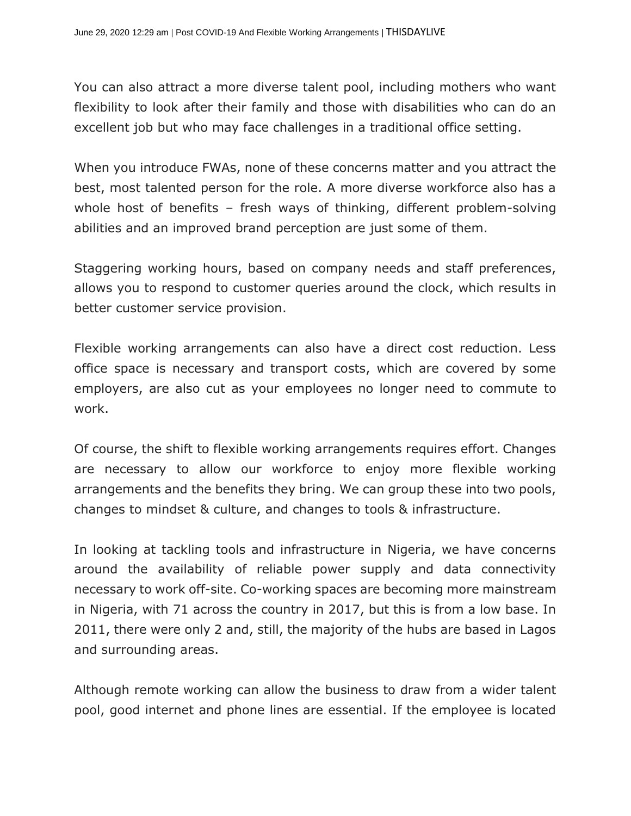You can also attract a more diverse talent pool, including mothers who want flexibility to look after their family and those with disabilities who can do an excellent job but who may face challenges in a traditional office setting.

When you introduce FWAs, none of these concerns matter and you attract the best, most talented person for the role. A more diverse workforce also has a whole host of benefits – fresh ways of thinking, different problem-solving abilities and an improved brand perception are just some of them.

Staggering working hours, based on company needs and staff preferences, allows you to respond to customer queries around the clock, which results in better customer service provision.

Flexible working arrangements can also have a direct cost reduction. Less office space is necessary and transport costs, which are covered by some employers, are also cut as your employees no longer need to commute to work.

Of course, the shift to flexible working arrangements requires effort. Changes are necessary to allow our workforce to enjoy more flexible working arrangements and the benefits they bring. We can group these into two pools, changes to mindset & culture, and changes to tools & infrastructure.

In looking at tackling tools and infrastructure in Nigeria, we have concerns around the availability of reliable power supply and data connectivity necessary to work off-site. Co-working spaces are becoming more mainstream in Nigeria, with 71 across the country in 2017, but this is from a low base. In 2011, there were only 2 and, still, the majority of the hubs are based in Lagos and surrounding areas.

Although remote working can allow the business to draw from a wider talent pool, good internet and phone lines are essential. If the employee is located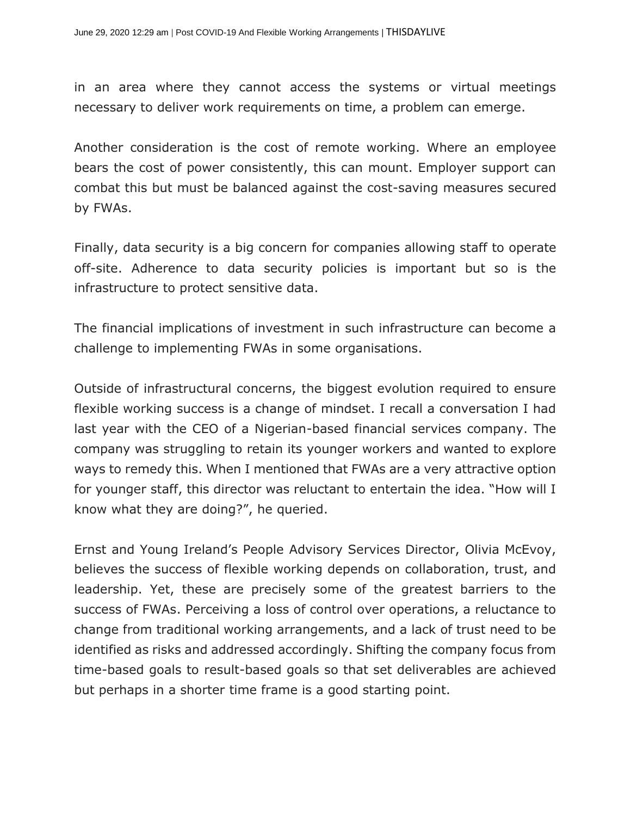in an area where they cannot access the systems or virtual meetings necessary to deliver work requirements on time, a problem can emerge.

Another consideration is the cost of remote working. Where an employee bears the cost of power consistently, this can mount. Employer support can combat this but must be balanced against the cost-saving measures secured by FWAs.

Finally, data security is a big concern for companies allowing staff to operate off-site. Adherence to data security policies is important but so is the infrastructure to protect sensitive data.

The financial implications of investment in such infrastructure can become a challenge to implementing FWAs in some organisations.

Outside of infrastructural concerns, the biggest evolution required to ensure flexible working success is a change of mindset. I recall a conversation I had last year with the CEO of a Nigerian-based financial services company. The company was struggling to retain its younger workers and wanted to explore ways to remedy this. When I mentioned that FWAs are a very attractive option for younger staff, this director was reluctant to entertain the idea. "How will I know what they are doing?", he queried.

Ernst and Young Ireland's People Advisory Services Director, Olivia McEvoy, believes the success of flexible working depends on collaboration, trust, and leadership. Yet, these are precisely some of the greatest barriers to the success of FWAs. Perceiving a loss of control over operations, a reluctance to change from traditional working arrangements, and a lack of trust need to be identified as risks and addressed accordingly. Shifting the company focus from time-based goals to result-based goals so that set deliverables are achieved but perhaps in a shorter time frame is a good starting point.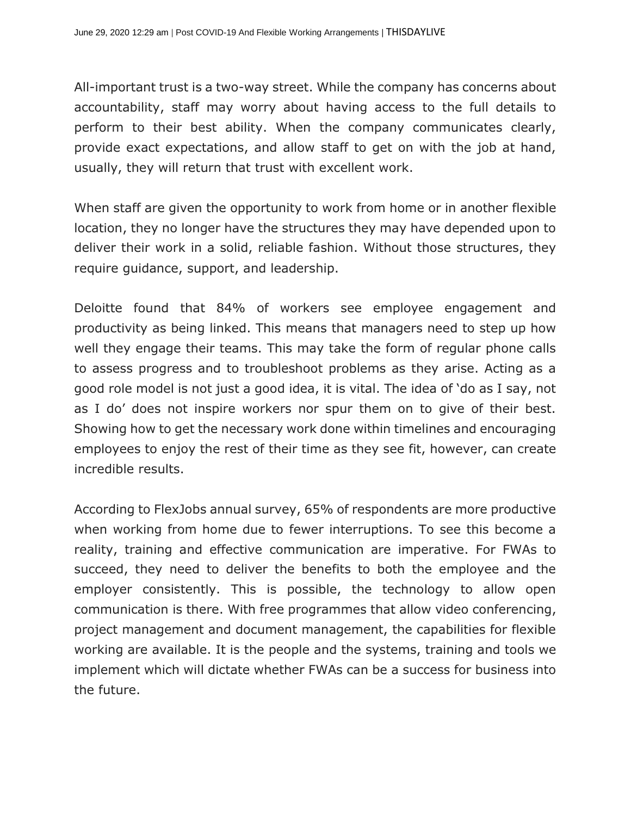All-important trust is a two-way street. While the company has concerns about accountability, staff may worry about having access to the full details to perform to their best ability. When the company communicates clearly, provide exact expectations, and allow staff to get on with the job at hand, usually, they will return that trust with excellent work.

When staff are given the opportunity to work from home or in another flexible location, they no longer have the structures they may have depended upon to deliver their work in a solid, reliable fashion. Without those structures, they require guidance, support, and leadership.

Deloitte found that 84% of workers see employee engagement and productivity as being linked. This means that managers need to step up how well they engage their teams. This may take the form of regular phone calls to assess progress and to troubleshoot problems as they arise. Acting as a good role model is not just a good idea, it is vital. The idea of 'do as I say, not as I do' does not inspire workers nor spur them on to give of their best. Showing how to get the necessary work done within timelines and encouraging employees to enjoy the rest of their time as they see fit, however, can create incredible results.

According to FlexJobs annual survey, 65% of respondents are more productive when working from home due to fewer interruptions. To see this become a reality, training and effective communication are imperative. For FWAs to succeed, they need to deliver the benefits to both the employee and the employer consistently. This is possible, the technology to allow open communication is there. With free programmes that allow video conferencing, project management and document management, the capabilities for flexible working are available. It is the people and the systems, training and tools we implement which will dictate whether FWAs can be a success for business into the future.